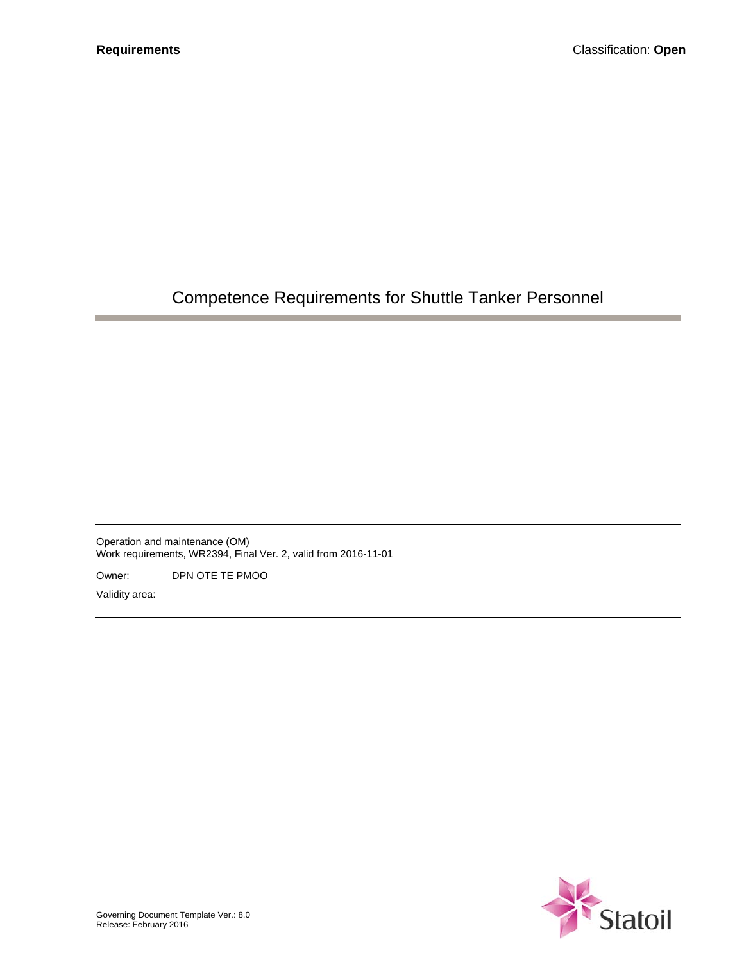# Competence Requirements for Shuttle Tanker Personnel

Operation and maintenance (OM) Work requirements, WR2394, Final Ver. 2, valid from 2016-11-01

Owner: DPN OTE TE PMOO

Validity area:

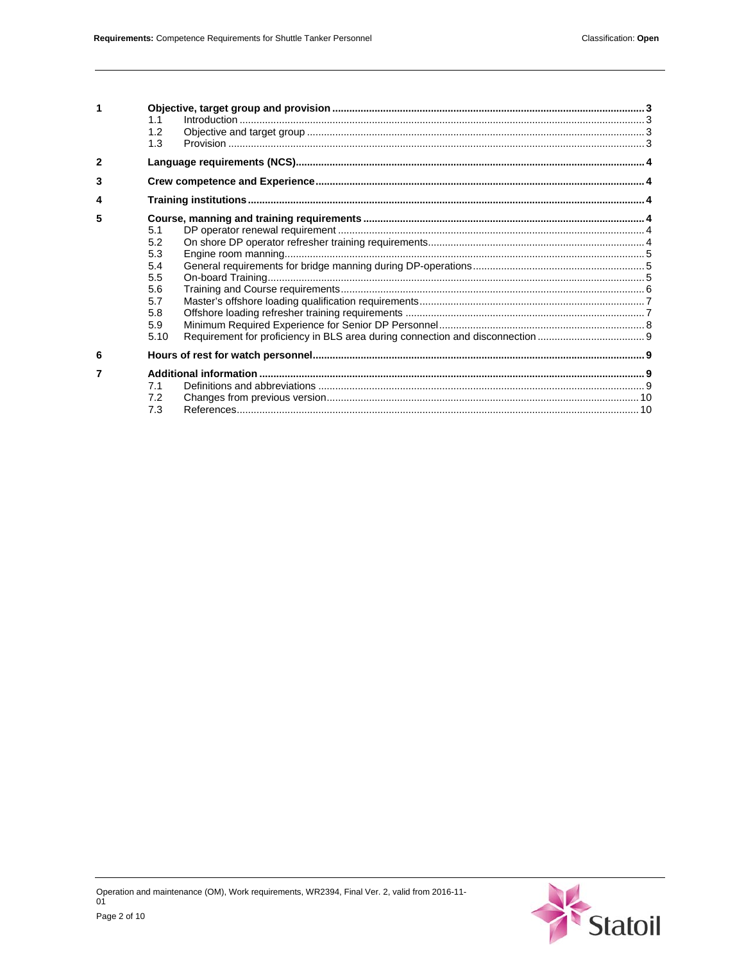|   | $\label{eq:1} \text{Introduction} \,\, \ldots \,\, \ldots \,\, \ldots \,\, \ldots \,\, \ldots \,\, \ldots \,\, \ldots \,\, \ldots \,\, \ldots \,\, \ldots \,\, \ldots \,\, \ldots \,\, \ldots \,\, \ldots \,\, \ldots \,\, \ldots \,\, \ldots \,\, \ldots \,\, \ldots \,\, \ldots \,\, \ldots \,\, \ldots \,\, \ldots \,\, \ldots \,\, \ldots \,\, \ldots \,\, \ldots \,\, \ldots \,\, \ldots \,\, \ldots \,\, \ldots \,\, \ldots \,\, \ldots \,\, \ldots \,\, \$<br>1.1<br>1.2<br>1.3 |  |
|---|----------------------------------------------------------------------------------------------------------------------------------------------------------------------------------------------------------------------------------------------------------------------------------------------------------------------------------------------------------------------------------------------------------------------------------------------------------------------------------------|--|
| 2 |                                                                                                                                                                                                                                                                                                                                                                                                                                                                                        |  |
| 3 |                                                                                                                                                                                                                                                                                                                                                                                                                                                                                        |  |
| 4 |                                                                                                                                                                                                                                                                                                                                                                                                                                                                                        |  |
| 5 | 5.1<br>5.2<br>5.3<br>5.4<br>5.5<br>5.6<br>5.7<br>5.8<br>5.9<br>5.10                                                                                                                                                                                                                                                                                                                                                                                                                    |  |
| 6 |                                                                                                                                                                                                                                                                                                                                                                                                                                                                                        |  |
|   | 7.1<br>7.2<br>7.3                                                                                                                                                                                                                                                                                                                                                                                                                                                                      |  |

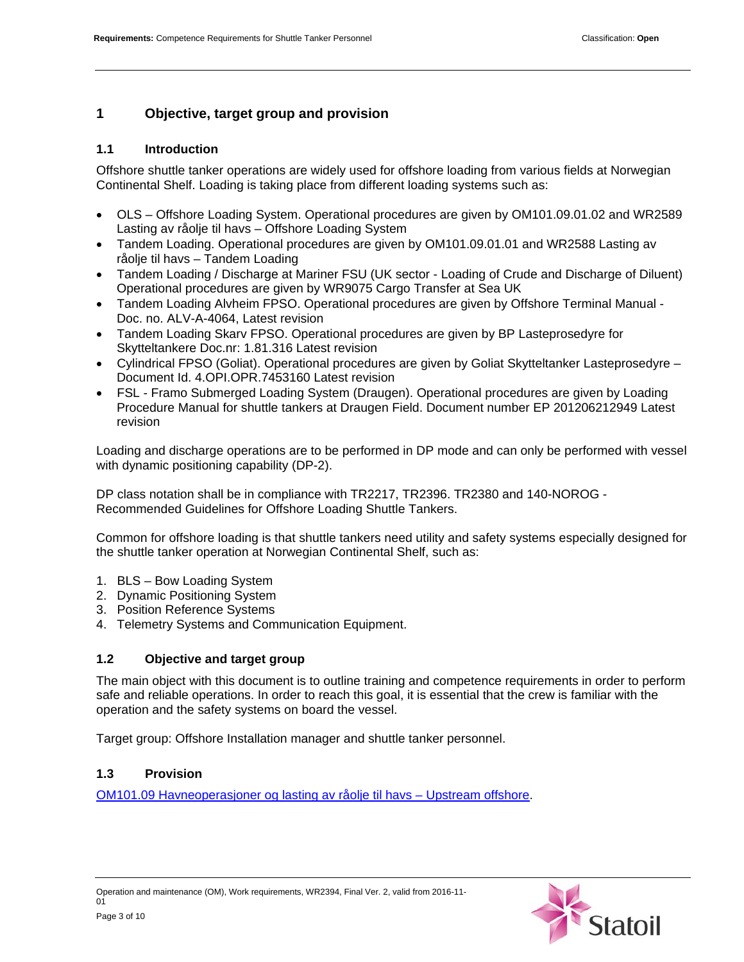# **1 Objective, target group and provision**

# **1.1 Introduction**

Offshore shuttle tanker operations are widely used for offshore loading from various fields at Norwegian Continental Shelf. Loading is taking place from different loading systems such as:

- OLS Offshore Loading System. Operational procedures are given by OM101.09.01.02 and WR2589 Lasting av råolje til havs – Offshore Loading System
- Tandem Loading. Operational procedures are given by OM101.09.01.01 and WR2588 Lasting av råolje til havs – Tandem Loading
- Tandem Loading / Discharge at Mariner FSU (UK sector Loading of Crude and Discharge of Diluent) Operational procedures are given by WR9075 Cargo Transfer at Sea UK
- Tandem Loading Alvheim FPSO. Operational procedures are given by Offshore Terminal Manual Doc. no. ALV-A-4064, Latest revision
- Tandem Loading Skarv FPSO. Operational procedures are given by BP Lasteprosedyre for Skytteltankere Doc.nr: 1.81.316 Latest revision
- Cylindrical FPSO (Goliat). Operational procedures are given by Goliat Skytteltanker Lasteprosedyre Document Id. 4.OPI.OPR.7453160 Latest revision
- FSL Framo Submerged Loading System (Draugen). Operational procedures are given by Loading Procedure Manual for shuttle tankers at Draugen Field. Document number EP 201206212949 Latest revision

Loading and discharge operations are to be performed in DP mode and can only be performed with vessel with dynamic positioning capability (DP-2).

DP class notation shall be in compliance with TR2217, TR2396. TR2380 and 140-NOROG - Recommended Guidelines for Offshore Loading Shuttle Tankers.

Common for offshore loading is that shuttle tankers need utility and safety systems especially designed for the shuttle tanker operation at Norwegian Continental Shelf, such as:

- 1. BLS Bow Loading System
- 2. Dynamic Positioning System
- 3. Position Reference Systems
- 4. Telemetry Systems and Communication Equipment.

# **1.2 Objective and target group**

The main object with this document is to outline training and competence requirements in order to perform safe and reliable operations. In order to reach this goal, it is essential that the crew is familiar with the operation and the safety systems on board the vessel.

Target group: Offshore Installation manager and shuttle tanker personnel.

# **1.3 Provision**

OM101.09 Havneoperasjoner og lasting av råolje til havs – Upstream offshore.

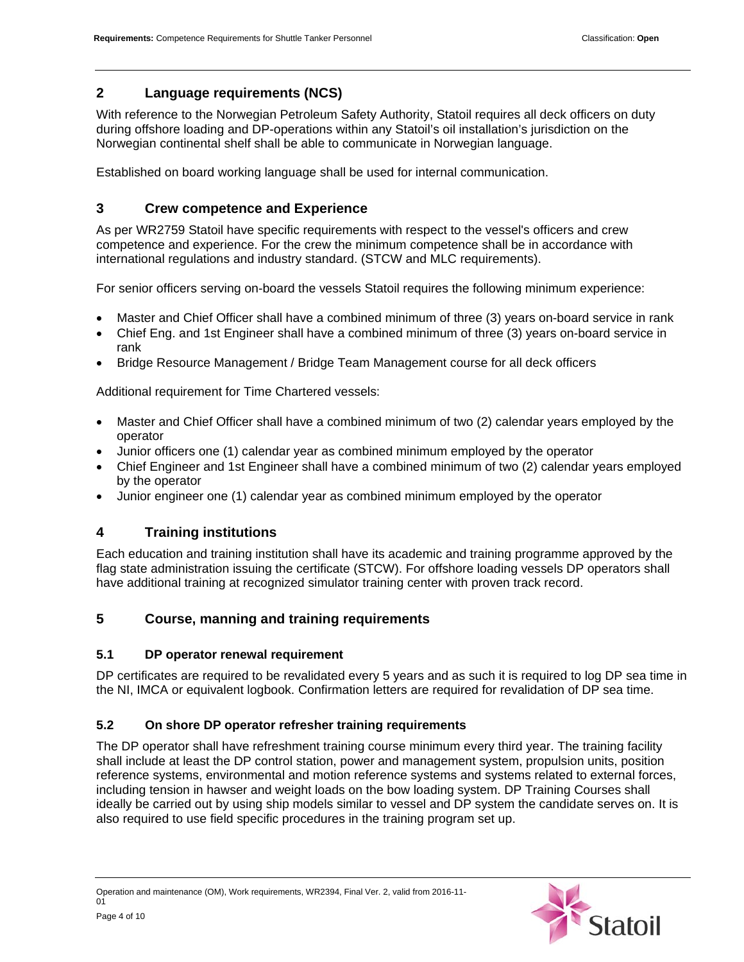# **2 Language requirements (NCS)**

With reference to the Norwegian Petroleum Safety Authority, Statoil requires all deck officers on duty during offshore loading and DP-operations within any Statoil's oil installation's jurisdiction on the Norwegian continental shelf shall be able to communicate in Norwegian language.

Established on board working language shall be used for internal communication.

# **3 Crew competence and Experience**

As per WR2759 Statoil have specific requirements with respect to the vessel's officers and crew competence and experience. For the crew the minimum competence shall be in accordance with international regulations and industry standard. (STCW and MLC requirements).

For senior officers serving on-board the vessels Statoil requires the following minimum experience:

- Master and Chief Officer shall have a combined minimum of three (3) years on-board service in rank
- Chief Eng. and 1st Engineer shall have a combined minimum of three (3) years on-board service in rank
- Bridge Resource Management / Bridge Team Management course for all deck officers

Additional requirement for Time Chartered vessels:

- Master and Chief Officer shall have a combined minimum of two (2) calendar years employed by the operator
- Junior officers one (1) calendar year as combined minimum employed by the operator
- Chief Engineer and 1st Engineer shall have a combined minimum of two (2) calendar years employed by the operator
- Junior engineer one (1) calendar year as combined minimum employed by the operator

## **4 Training institutions**

Each education and training institution shall have its academic and training programme approved by the flag state administration issuing the certificate (STCW). For offshore loading vessels DP operators shall have additional training at recognized simulator training center with proven track record.

# **5 Course, manning and training requirements**

## **5.1 DP operator renewal requirement**

DP certificates are required to be revalidated every 5 years and as such it is required to log DP sea time in the NI, IMCA or equivalent logbook. Confirmation letters are required for revalidation of DP sea time.

## **5.2 On shore DP operator refresher training requirements**

The DP operator shall have refreshment training course minimum every third year. The training facility shall include at least the DP control station, power and management system, propulsion units, position reference systems, environmental and motion reference systems and systems related to external forces, including tension in hawser and weight loads on the bow loading system. DP Training Courses shall ideally be carried out by using ship models similar to vessel and DP system the candidate serves on. It is also required to use field specific procedures in the training program set up.

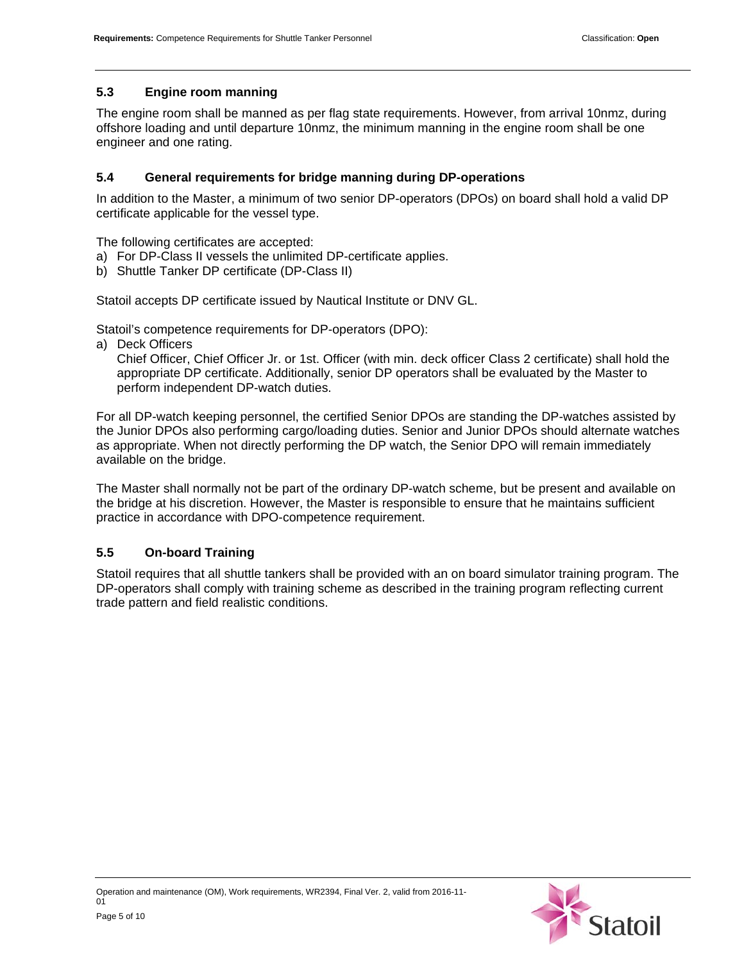#### **5.3 Engine room manning**

The engine room shall be manned as per flag state requirements. However, from arrival 10nmz, during offshore loading and until departure 10nmz, the minimum manning in the engine room shall be one engineer and one rating.

## **5.4 General requirements for bridge manning during DP-operations**

In addition to the Master, a minimum of two senior DP-operators (DPOs) on board shall hold a valid DP certificate applicable for the vessel type.

The following certificates are accepted:

- a) For DP-Class II vessels the unlimited DP-certificate applies.
- b) Shuttle Tanker DP certificate (DP-Class II)

Statoil accepts DP certificate issued by Nautical Institute or DNV GL.

Statoil's competence requirements for DP-operators (DPO):

a) Deck Officers

Chief Officer, Chief Officer Jr. or 1st. Officer (with min. deck officer Class 2 certificate) shall hold the appropriate DP certificate. Additionally, senior DP operators shall be evaluated by the Master to perform independent DP-watch duties.

For all DP-watch keeping personnel, the certified Senior DPOs are standing the DP-watches assisted by the Junior DPOs also performing cargo/loading duties. Senior and Junior DPOs should alternate watches as appropriate. When not directly performing the DP watch, the Senior DPO will remain immediately available on the bridge.

The Master shall normally not be part of the ordinary DP-watch scheme, but be present and available on the bridge at his discretion. However, the Master is responsible to ensure that he maintains sufficient practice in accordance with DPO-competence requirement.

## **5.5 On-board Training**

Statoil requires that all shuttle tankers shall be provided with an on board simulator training program. The DP-operators shall comply with training scheme as described in the training program reflecting current trade pattern and field realistic conditions.

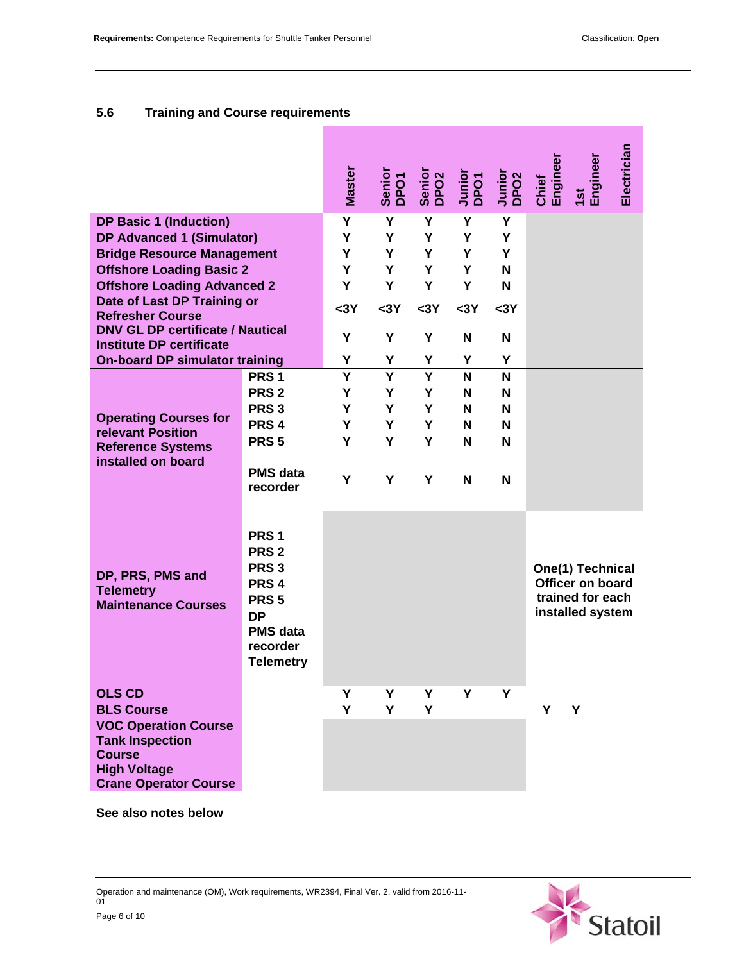# **5.6 Training and Course requirements**

г

|                                                                                                                                                                                                                                                                                      |                                                                                                                                                                  | <b>Master</b>                 | Senior<br>DPO1                | Senior<br>DPO2                | Junior<br>DPO1                | Junior<br>DPO <sub>2</sub>    | Engineer<br>Chief | 1st<br>Engineer                                                                     | Electrician |
|--------------------------------------------------------------------------------------------------------------------------------------------------------------------------------------------------------------------------------------------------------------------------------------|------------------------------------------------------------------------------------------------------------------------------------------------------------------|-------------------------------|-------------------------------|-------------------------------|-------------------------------|-------------------------------|-------------------|-------------------------------------------------------------------------------------|-------------|
| <b>DP Basic 1 (Induction)</b><br><b>DP Advanced 1 (Simulator)</b><br><b>Bridge Resource Management</b><br><b>Offshore Loading Basic 2</b><br><b>Offshore Loading Advanced 2</b><br>Date of Last DP Training or<br><b>Refresher Course</b><br><b>DNV GL DP certificate / Nautical</b> |                                                                                                                                                                  | Υ<br>Y<br>Υ<br>Y<br>Υ<br>$3Y$ | Υ<br>Y<br>Υ<br>Y<br>Υ<br>$3Y$ | Υ<br>Y<br>Y<br>Y<br>Y<br>$3Y$ | Υ<br>Y<br>Y<br>Y<br>Υ<br>$3Y$ | Υ<br>Y<br>Υ<br>N<br>N<br>$3Y$ |                   |                                                                                     |             |
| <b>Institute DP certificate</b><br><b>On-board DP simulator training</b>                                                                                                                                                                                                             |                                                                                                                                                                  | Y<br>Υ                        | Υ<br>Υ                        | Y<br>Υ                        | N<br>Υ                        | N<br>Y                        |                   |                                                                                     |             |
| <b>Operating Courses for</b><br>relevant Position<br><b>Reference Systems</b><br>installed on board                                                                                                                                                                                  | PRS <sub>1</sub><br>PRS <sub>2</sub><br>PRS <sub>3</sub><br>PRS <sub>4</sub><br>PRS <sub>5</sub><br><b>PMS</b> data<br>recorder                                  | Y<br>Y<br>Y<br>Y<br>Y<br>Y    | Y<br>Y<br>Y<br>Υ<br>Y<br>Υ    | Ý<br>Y<br>Y<br>Y<br>Y<br>Υ    | N<br>N<br>N<br>N<br>N<br>N    | N<br>N<br>N<br>N<br>N<br>N    |                   |                                                                                     |             |
| DP, PRS, PMS and<br><b>Telemetry</b><br><b>Maintenance Courses</b>                                                                                                                                                                                                                   | PRS <sub>1</sub><br>PRS <sub>2</sub><br>PRS <sub>3</sub><br>PRS <sub>4</sub><br>PRS <sub>5</sub><br><b>DP</b><br><b>PMS</b> data<br>recorder<br><b>Telemetry</b> |                               |                               |                               |                               |                               |                   | One(1) Technical<br><b>Officer on board</b><br>trained for each<br>installed system |             |
| <b>OLS CD</b><br><b>BLS Course</b><br><b>VOC Operation Course</b><br><b>Tank Inspection</b><br><b>Course</b><br><b>High Voltage</b><br><b>Crane Operator Course</b>                                                                                                                  |                                                                                                                                                                  | Y<br>Y                        | Υ<br>Y                        | Y<br>Y                        | Y                             | Ý                             | Y                 | Y                                                                                   |             |

**See also notes below** 

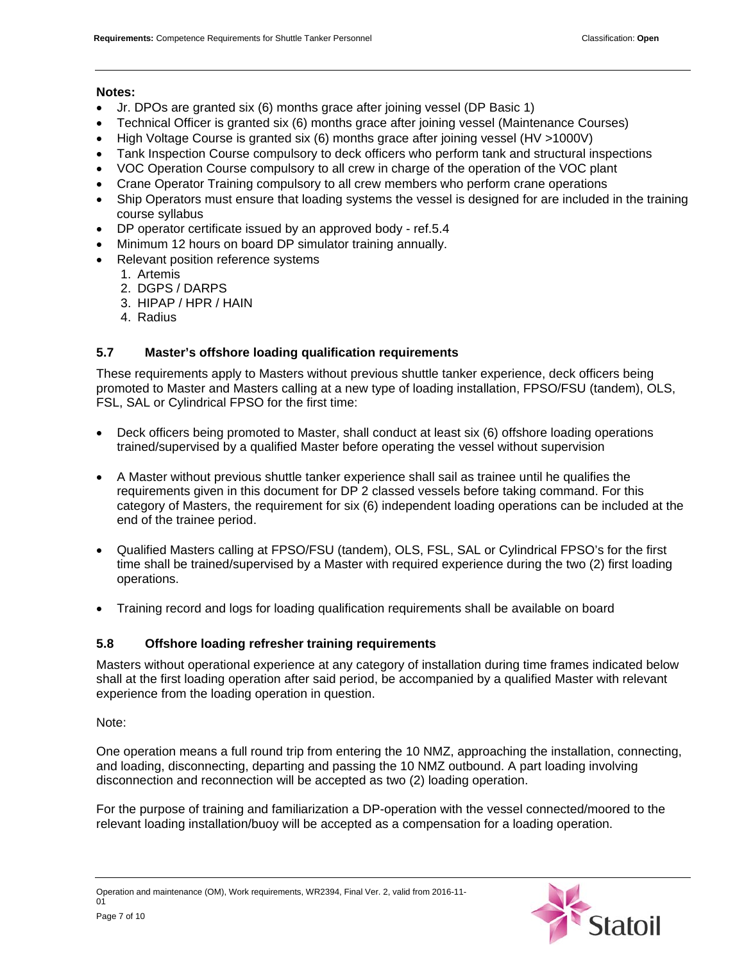#### **Notes:**

- Jr. DPOs are granted six (6) months grace after joining vessel (DP Basic 1)
- Technical Officer is granted six (6) months grace after joining vessel (Maintenance Courses)
- High Voltage Course is granted six (6) months grace after joining vessel (HV >1000V)
- Tank Inspection Course compulsory to deck officers who perform tank and structural inspections
- VOC Operation Course compulsory to all crew in charge of the operation of the VOC plant
- Crane Operator Training compulsory to all crew members who perform crane operations
- Ship Operators must ensure that loading systems the vessel is designed for are included in the training course syllabus
- DP operator certificate issued by an approved body ref.5.4
- Minimum 12 hours on board DP simulator training annually.
- Relevant position reference systems
	- 1. Artemis
		- 2. DGPS / DARPS
		- 3. HIPAP / HPR / HAIN
		- 4. Radius

#### **5.7 Master's offshore loading qualification requirements**

These requirements apply to Masters without previous shuttle tanker experience, deck officers being promoted to Master and Masters calling at a new type of loading installation, FPSO/FSU (tandem), OLS, FSL, SAL or Cylindrical FPSO for the first time:

- Deck officers being promoted to Master, shall conduct at least six (6) offshore loading operations trained/supervised by a qualified Master before operating the vessel without supervision
- A Master without previous shuttle tanker experience shall sail as trainee until he qualifies the requirements given in this document for DP 2 classed vessels before taking command. For this category of Masters, the requirement for six (6) independent loading operations can be included at the end of the trainee period.
- Qualified Masters calling at FPSO/FSU (tandem), OLS, FSL, SAL or Cylindrical FPSO's for the first time shall be trained/supervised by a Master with required experience during the two (2) first loading operations.
- Training record and logs for loading qualification requirements shall be available on board

#### **5.8 Offshore loading refresher training requirements**

Masters without operational experience at any category of installation during time frames indicated below shall at the first loading operation after said period, be accompanied by a qualified Master with relevant experience from the loading operation in question.

Note:

One operation means a full round trip from entering the 10 NMZ, approaching the installation, connecting, and loading, disconnecting, departing and passing the 10 NMZ outbound. A part loading involving disconnection and reconnection will be accepted as two (2) loading operation.

For the purpose of training and familiarization a DP-operation with the vessel connected/moored to the relevant loading installation/buoy will be accepted as a compensation for a loading operation.

Operation and maintenance (OM), Work requirements, WR2394, Final Ver. 2, valid from 2016-11-  $01$ Page 7 of 10

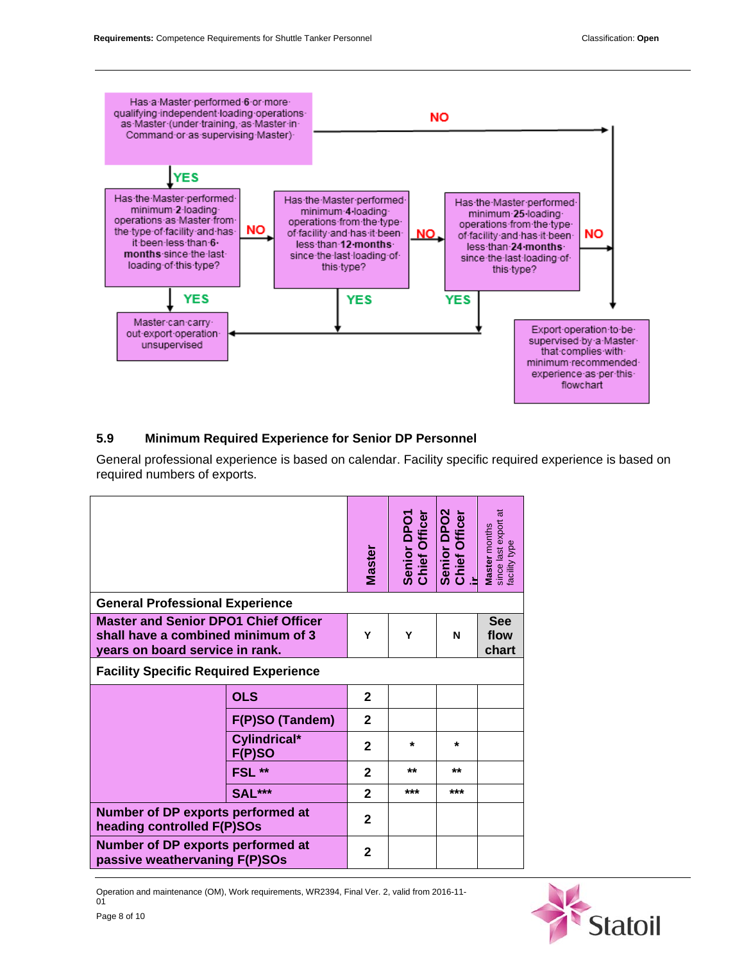

# **5.9 Minimum Required Experience for Senior DP Personnel**

General professional experience is based on calendar. Facility specific required experience is based on required numbers of exports.

|                                                                                                                      |                        | <b>Master</b>  | <b>Chief Officer</b><br>Senior DPO1 | Senior DPO2<br>Chief Officer | since last export at<br>facility type<br>Master months |
|----------------------------------------------------------------------------------------------------------------------|------------------------|----------------|-------------------------------------|------------------------------|--------------------------------------------------------|
| <b>General Professional Experience</b>                                                                               |                        |                |                                     |                              |                                                        |
| <b>Master and Senior DPO1 Chief Officer</b><br>shall have a combined minimum of 3<br>years on board service in rank. |                        |                | Υ                                   | N                            | <b>See</b><br>flow<br>chart                            |
| <b>Facility Specific Required Experience</b>                                                                         |                        |                |                                     |                              |                                                        |
|                                                                                                                      | <b>OLS</b>             | $\mathbf{2}$   |                                     |                              |                                                        |
|                                                                                                                      | F(P)SO (Tandem)        | $\mathbf{2}$   |                                     |                              |                                                        |
|                                                                                                                      | Cylindrical*<br>F(P)SO | $\mathbf{2}$   | $\star$                             | $\star$                      |                                                        |
|                                                                                                                      | FSL**                  | $\mathbf{2}$   | **                                  | **                           |                                                        |
|                                                                                                                      | <b>SAL***</b>          | $\overline{2}$ | ***                                 | ***                          |                                                        |
| Number of DP exports performed at<br>heading controlled F(P)SOs                                                      |                        | $\mathbf{2}$   |                                     |                              |                                                        |
| Number of DP exports performed at<br>passive weathervaning F(P)SOs                                                   |                        | $\mathbf{2}$   |                                     |                              |                                                        |

Operation and maintenance (OM), Work requirements, WR2394, Final Ver. 2, valid from 2016-11-  $01$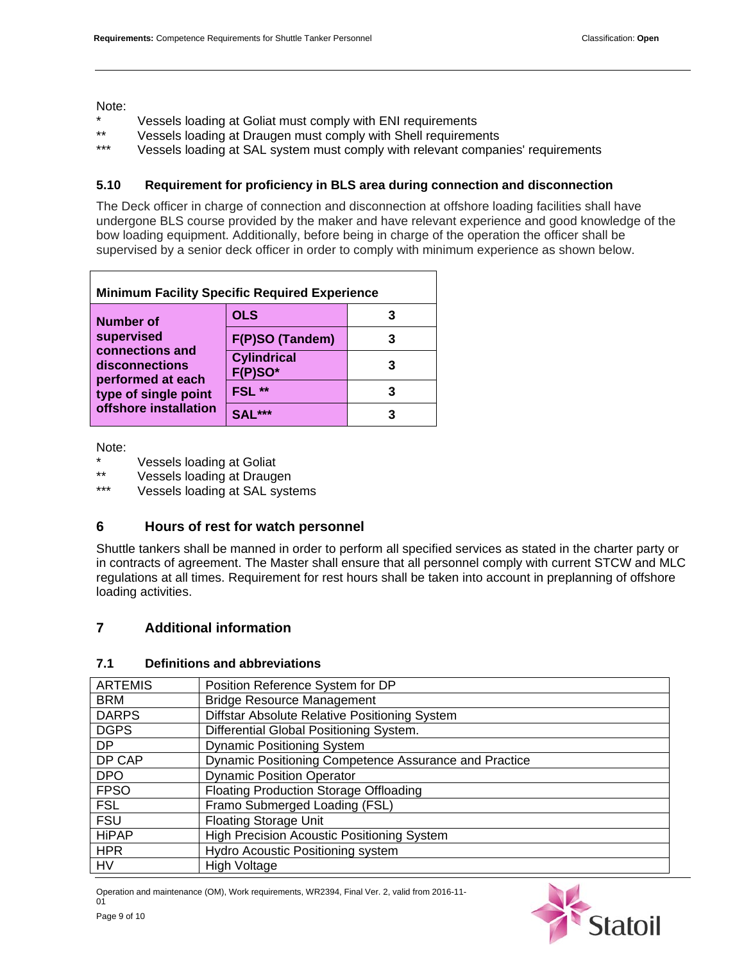Note:

- \* Vessels loading at Goliat must comply with ENI requirements
- \*\* Vessels loading at Draugen must comply with Shell requirements
- Vessels loading at SAL system must comply with relevant companies' requirements

#### **5.10 Requirement for proficiency in BLS area during connection and disconnection**

The Deck officer in charge of connection and disconnection at offshore loading facilities shall have undergone BLS course provided by the maker and have relevant experience and good knowledge of the bow loading equipment. Additionally, before being in charge of the operation the officer shall be supervised by a senior deck officer in order to comply with minimum experience as shown below.

| <b>Minimum Facility Specific Required Experience</b>   |                                  |  |  |
|--------------------------------------------------------|----------------------------------|--|--|
| <b>Number of</b><br>supervised                         | <b>OLS</b>                       |  |  |
|                                                        | F(P)SO (Tandem)                  |  |  |
| connections and<br>disconnections<br>performed at each | <b>Cylindrical</b><br>$F(P)SO^*$ |  |  |
| type of single point                                   | FSL <sup>**</sup>                |  |  |
| offshore installation                                  | $SAI***$                         |  |  |

Note:

\* Vessels loading at Goliat

\*\* Vessels loading at Draugen

Vessels loading at SAL systems

## **6 Hours of rest for watch personnel**

Shuttle tankers shall be manned in order to perform all specified services as stated in the charter party or in contracts of agreement. The Master shall ensure that all personnel comply with current STCW and MLC regulations at all times. Requirement for rest hours shall be taken into account in preplanning of offshore loading activities.

## **7 Additional information**

# ARTEMIS | Position Reference System for DP BRM | Bridge Resource Management DARPS | Diffstar Absolute Relative Positioning System DGPS | Differential Global Positioning System. DP | Dynamic Positioning System DP CAP | Dynamic Positioning Competence Assurance and Practice DPO | Dynamic Position Operator FPSO | Floating Production Storage Offloading FSL | Framo Submerged Loading (FSL) FSU | Floating Storage Unit HiPAP | High Precision Acoustic Positioning System HPR | Hydro Acoustic Positioning system HV | High Voltage

Operation and maintenance (OM), Work requirements, WR2394, Final Ver. 2, valid from 2016-11-

## **7.1 Definitions and abbreviations**



 $01$